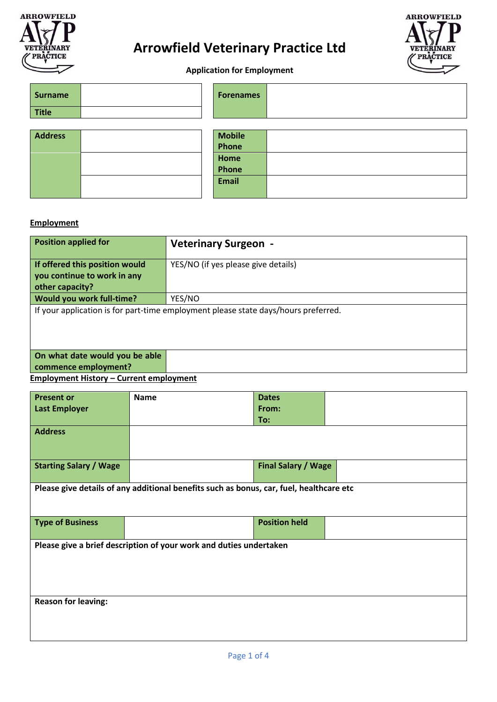

# **Arrowfield Veterinary Practice Ltd**



**Application for Employment**

| <b>Surname</b> | <b>Forenames</b> |  |
|----------------|------------------|--|
| <b>Title</b>   |                  |  |
|                |                  |  |
| <b>Address</b> | <b>Mobile</b>    |  |
|                | Phone            |  |
|                | Home             |  |
|                | Phone            |  |
|                | <b>Email</b>     |  |
|                |                  |  |

### **Employment**

| <b>Position applied for</b>                                                        | <b>Veterinary Surgeon -</b>         |  |
|------------------------------------------------------------------------------------|-------------------------------------|--|
| If offered this position would<br>you continue to work in any                      | YES/NO (if yes please give details) |  |
| other capacity?                                                                    |                                     |  |
| Would you work full-time?                                                          | YES/NO                              |  |
| If your application is for part-time employment please state days/hours preferred. |                                     |  |
| On what date would you be able<br>commence employment?                             |                                     |  |

**Employment History – Current employment** 

| <b>Present or</b>                                                  | <b>Name</b>                                                                             | <b>Dates</b>               |  |
|--------------------------------------------------------------------|-----------------------------------------------------------------------------------------|----------------------------|--|
| <b>Last Employer</b>                                               |                                                                                         | From:                      |  |
|                                                                    |                                                                                         | To:                        |  |
| <b>Address</b>                                                     |                                                                                         |                            |  |
|                                                                    |                                                                                         |                            |  |
|                                                                    |                                                                                         |                            |  |
| <b>Starting Salary / Wage</b>                                      |                                                                                         | <b>Final Salary / Wage</b> |  |
|                                                                    |                                                                                         |                            |  |
|                                                                    | Please give details of any additional benefits such as bonus, car, fuel, healthcare etc |                            |  |
|                                                                    |                                                                                         |                            |  |
|                                                                    |                                                                                         |                            |  |
| <b>Type of Business</b>                                            |                                                                                         | <b>Position held</b>       |  |
|                                                                    |                                                                                         |                            |  |
| Please give a brief description of your work and duties undertaken |                                                                                         |                            |  |
|                                                                    |                                                                                         |                            |  |
|                                                                    |                                                                                         |                            |  |
|                                                                    |                                                                                         |                            |  |
|                                                                    |                                                                                         |                            |  |
| <b>Reason for leaving:</b>                                         |                                                                                         |                            |  |
|                                                                    |                                                                                         |                            |  |
|                                                                    |                                                                                         |                            |  |
|                                                                    |                                                                                         |                            |  |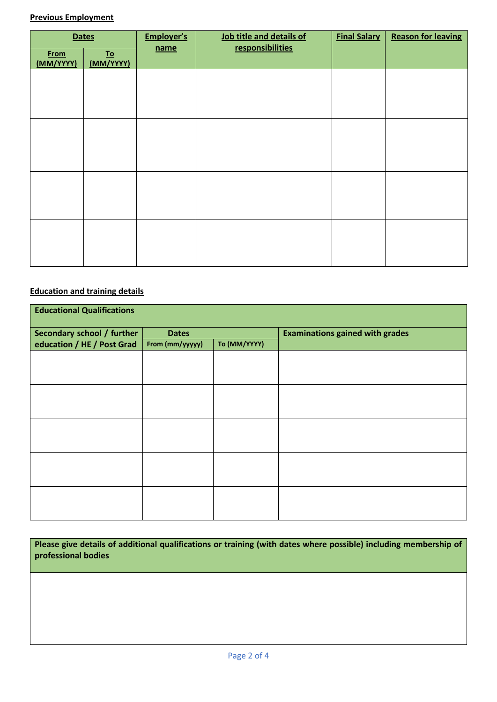## **Previous Employment**

| <b>Dates</b>             |                                        | Employer's | Job title and details of | <b>Final Salary</b> | <b>Reason for leaving</b> |
|--------------------------|----------------------------------------|------------|--------------------------|---------------------|---------------------------|
| <b>From</b><br>(MM/YYYY) | $\underline{\mathbf{To}}$<br>(MM/YYYY) | name       | responsibilities         |                     |                           |
|                          |                                        |            |                          |                     |                           |
|                          |                                        |            |                          |                     |                           |
|                          |                                        |            |                          |                     |                           |
|                          |                                        |            |                          |                     |                           |
|                          |                                        |            |                          |                     |                           |
|                          |                                        |            |                          |                     |                           |
|                          |                                        |            |                          |                     |                           |
|                          |                                        |            |                          |                     |                           |

# **Education and training details**

| <b>Educational Qualifications</b>                        |                                                 |  |                                        |
|----------------------------------------------------------|-------------------------------------------------|--|----------------------------------------|
| Secondary school / further<br>education / HE / Post Grad | <b>Dates</b><br>To (MM/YYYY)<br>From (mm/yyyyy) |  | <b>Examinations gained with grades</b> |
|                                                          |                                                 |  |                                        |
|                                                          |                                                 |  |                                        |
|                                                          |                                                 |  |                                        |
|                                                          |                                                 |  |                                        |
|                                                          |                                                 |  |                                        |
|                                                          |                                                 |  |                                        |
|                                                          |                                                 |  |                                        |
|                                                          |                                                 |  |                                        |
|                                                          |                                                 |  |                                        |

| Please give details of additional qualifications or training (with dates where possible) including membership of |  |
|------------------------------------------------------------------------------------------------------------------|--|
| professional bodies                                                                                              |  |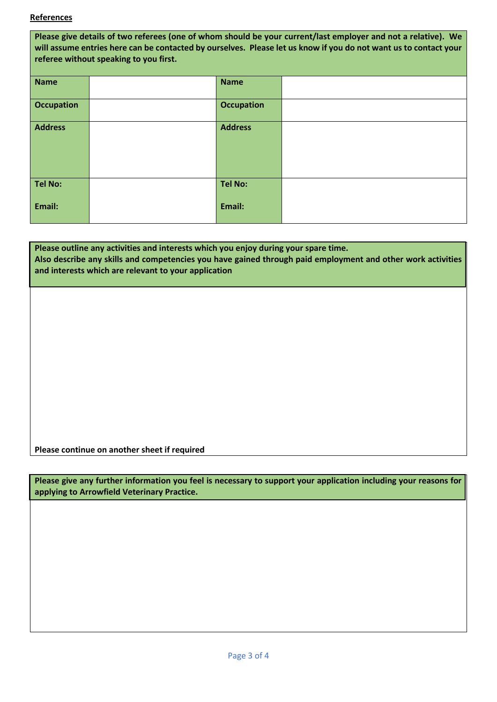#### **References**

| Please give details of two referees (one of whom should be your current/last employer and not a relative). We<br>will assume entries here can be contacted by ourselves. Please let us know if you do not want us to contact your<br>referee without speaking to you first. |  |                   |  |
|-----------------------------------------------------------------------------------------------------------------------------------------------------------------------------------------------------------------------------------------------------------------------------|--|-------------------|--|
| <b>Name</b>                                                                                                                                                                                                                                                                 |  | <b>Name</b>       |  |
| <b>Occupation</b>                                                                                                                                                                                                                                                           |  | <b>Occupation</b> |  |
| <b>Address</b>                                                                                                                                                                                                                                                              |  | <b>Address</b>    |  |
| <b>Tel No:</b>                                                                                                                                                                                                                                                              |  | <b>Tel No:</b>    |  |
| Email:                                                                                                                                                                                                                                                                      |  | Email:            |  |

### **Please outline any activities and interests which you enjoy during your spare time. Also describe any skills and competencies you have gained through paid employment and other work activities and interests which are relevant to your application**

**Please continue on another sheet if required**

**Please give any further information you feel is necessary to support your application including your reasons for applying to Arrowfield Veterinary Practice.**